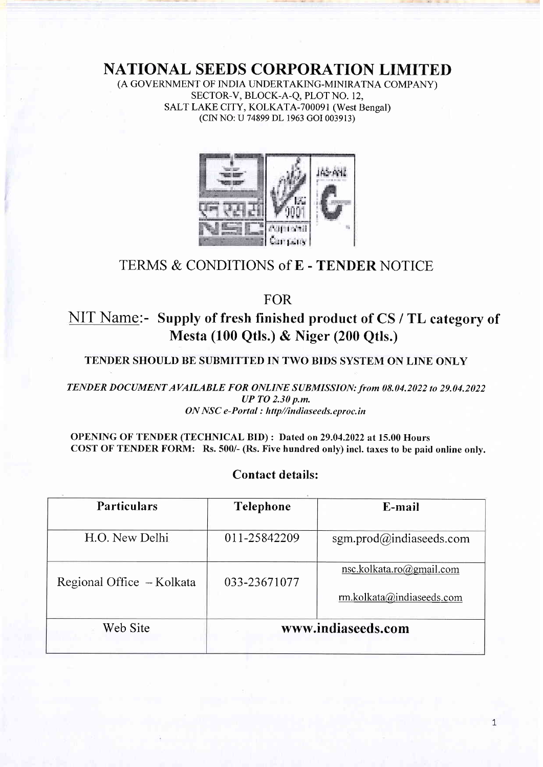NATIONAL SEEDS CORPORATION LIMITED

(A GOVERNMENT OF INDIA LINDERTAKING-MINIRATNA COMPANY) SECTOR-V, BLOCK-A-Q, PLOT NO. 12, SALT LAKE CITY, KOLKATA-700091 (West Bengal) (CIN NO: U 74899 DL 1963 cOI 003913)



## TERMS & CONDITIONS of E - TENDER NOTICE

FOR

# NIT Name:- Supply of fresh finished product of CS / TL category of Mesta (100 Qtls.) & Niger (200 Qtls.)

#### TENDER SHOULD BE SUBMITTED IN TWO BIDS SYSTEM ON LINE ONLY

TENDER DOCUMENT AVAILABLE FOR ONLINE SUBMISSION: from 08.04.2022 to 29.04.2022 UP TO 2.30 p.m. ON NSC e-Portal : http//indiaseeds.eproc.in

OPENING OF TENDER (TECHNICAL BID) : Dated on 29.04.2022 at 15.00 Hours COST OF TENDER FORM: Rs.500/- (Rs. Five hundred only) incl. taxes to be paid online only.

# Particulars Telephone E-mail H.O. New Delhi  $011-25842209$  sgm.prod $@$ indiaseeds.com Regional Office  $-$  Kolkata  $\parallel$  033-23671077 nsc.kolkata.ro@gmail.com rm.kolkata@indiaseeds.com Web Site Www.indiaseeds.com

#### Contact details: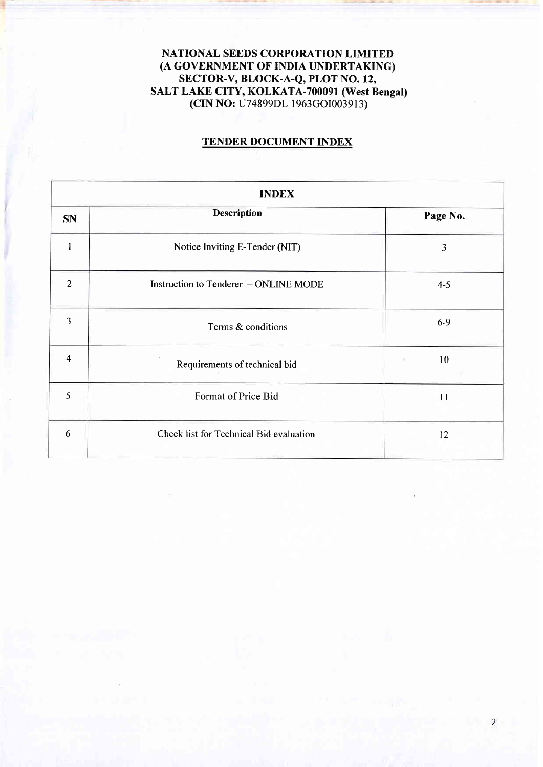NATIONAL SEEDS CORPORATION LIMITED (A GOVERNMENT OF INDIA UNDERTAKING) SECTOR-V, BLOCK-A-Q, PLOT NO. 12, SALT LAKE CITY, KOLKATA-700091 (West Bengal) (CIN NO: U74899DL 1963cOI003913)

### TENDER DOCUMENT INDEX

| <b>INDEX</b>   |                                         |          |  |  |
|----------------|-----------------------------------------|----------|--|--|
| <b>SN</b>      | <b>Description</b>                      | Page No. |  |  |
|                | Notice Inviting E-Tender (NIT)          | 3        |  |  |
| $\overline{2}$ | Instruction to Tenderer - ONLINE MODE   | $4 - 5$  |  |  |
| $\overline{3}$ | Terms & conditions                      | $6-9$    |  |  |
| $\overline{4}$ | Requirements of technical bid           | 10<br>S  |  |  |
| 5              | Format of Price Bid                     | 11       |  |  |
| 6              | Check list for Technical Bid evaluation | 12       |  |  |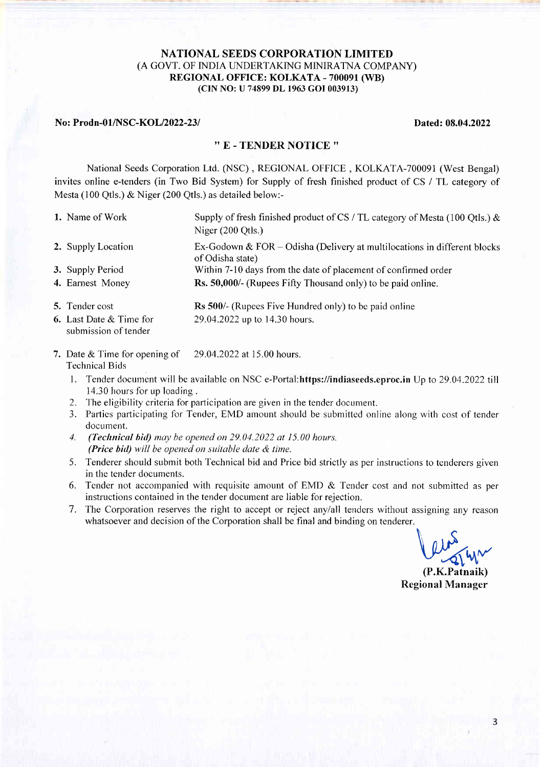#### NATIONAL SEEDS CORPORATION LIMITED (A GOVT. OF INDIA UNDERTAKING MINIRATNA COMPANY) REGIONAL OFFICE: KOLKATA - 700091 (WB) (CIN NO: U 74899 DL 1963 GOI 003913)

#### No: Prodn-01/NSC-KOL/2022-23/ Dated: 08.04.2022

#### '' E - TENDER NOTICE ''

National Seeds corporation Ltd. (NSC) , REGIONAL OFFICE , KOLKATA-700091 (West Bengal) invites online e-tenders (in Two Bid System) for Supply of fresh finished product of CS / TL category of Mesta (100 Qtls.) & Niger (200 Qtls.) as detailed below:-

- l. Name of Work Supply of fresh finished product of CS / TL category of Mesta (100 Qtls.) & Niger (200 Qtls.) 2. Supply Location Ex-Godown & FOR – Odisha (Delivery at multilocations in different blocks of Odisha state)
- 3. Supply Period Within 7-10 days from the date of placement of confinned order 4. Earnest Money Rs. 50,000/- (Rupees Fifty Thousand only) to be paid online.
- 5. Tender cost **Rs 500/-** (Rupees Five Hundred only) to be paid online 6. Last Date & Time for 29.04.2022 up to 14.30 hours.
- submission of tender
- 7. Date & Time for opening of 29.04.2022 at 15.00 hours. Technical Bids
	- 1. Tender document will be available on NSC e-Poftal:https://indiaseeds.eproc.in Up to 29.04.2022 till 14.30 hours for up loading.
	- 2. The eligibility criteria for participation are given in the tender document.
	- 3. Parties participating for Tender, EMD amount should be submitted online along with cost of tender document.
	- 4. (Technical bid) may be opened on 29.04.2022 at 15.00 hours. (Price bid) will be opened on suitable date  $\&$  time.
	- 5. Tenderer should submit both Technical bid and Price bid strictly as per instructions to tenderers given in the tender documents.
	- 6. Tender not accompanied with requisite amount of EMD  $&$  Tender cost and not submitted as per instructions contained in the tender document are liable for rejection.
	- 7. The Corporation reserves the right to accept or reject anylall tenders without assigning any reason whatsoever and decision of the Corporation shall be final and binding on tenderer.

leur 1

(P.K.Patnaik) Regional Manager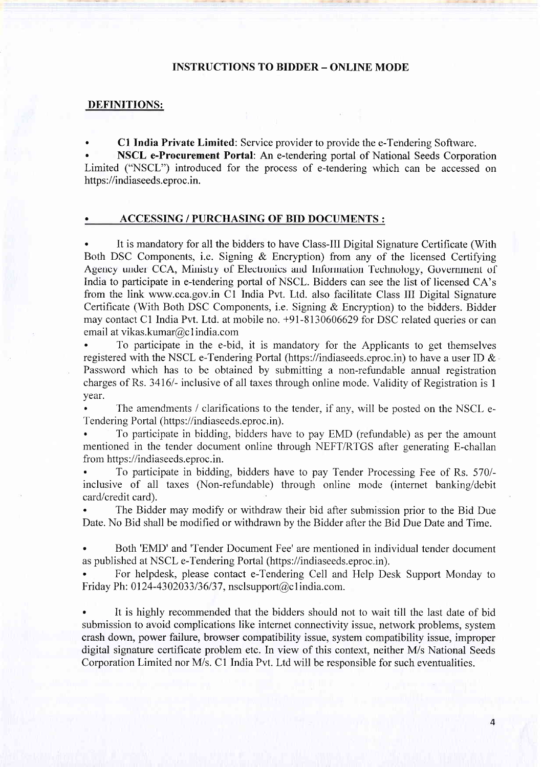#### INSTRUCTIONS TO BIDDER - ONLINE MODE

#### DEFINITIONS:

. Cl India Private Limited: Service provider to provide the e-Tendering Software.

. NSCL e-Procurement Portal: An e-tendering portal of National Seeds Corporation Limited ("NSCL") introduced for the process of e-tendering which can be accessed on https://indiaseeds.eproc.in.

#### . ACCESSING / PURCHASING OF BID DOCUMENTS :

. It is mandatory for all the bidders to have Class-III Digital Signature Certificate (With Both DSC Components, i.e. Signing & Encryption) from any of the licensed Certifying Agency under CCA, Ministry of Electronics and Information Technology, Government of India to participate in e-tendering portal of NSCL. Bidders can see the list of licensed CA's from the link www.cca.gov.in Cl India Pvt. Ltd. also facilitate Class III Digital Signature Certificate (With Both DSC Components, i.e. Signing & Encryption) to the bidders. Bidder may contact C1 India Pvt. Ltd. at mobile no. +91-8130606629 for DSC related queries or can email at vikas.kumar@c1india.com

. To participate in the e-bid, it is mandatory for the Applicants to get themselves registered with the NSCL e-Tendering Portal (https://indiaseeds.eproc.in) to have a user ID & Password which has to be obtained by submitting a non-refundable annual registration charges of Rs. 3416/- inclusive of all taxes through online mode. Validity of Registration is 1 year.

The amendments / clarifications to the tender, if any, will be posted on the NSCL e-Tendering Portal (https://indiaseeds.eproc.in).

. To participate in bidding, bidders have to pay EMD (refundable) as per the amount mentioned in the tender document online through NEFT/RTGS after generating E-challan from https ://indiaseeds.eproc.in.

. To participate in bidding, bidders have to pay Tender Processing Fee of Rs. 570/ inclusive of all taxes (Non-refundable) through online mode (internet banking/debit card/credit card).

. The Bidder may modify or withdraw their bid after submission prior to the Bid Due Date. No Bid shall be modified or withdrawn by the Bidder after the Bid Due Date and Time.

. Both'EMD'and'Tender Document Fee'are mentioned in individual tender document as published at NSCL e-Tendering Portal (https://indiaseeds.eproc.in).

. For helpdesk, please contact e-Tendering Cell and Help Desk Support Monday to Friday Ph:  $0124 - 4302033/36/37$ , nsclsupport $@c1$ india.com.

. It is highly recommended that the bidders should not to wait till the last date of bid submission to avoid complications like internet connectivity issue, network problems, system crash down, power failure, browser compatibility issue, system compatibility issue, improper digital signature certificate problem etc. In view of this context, neither M/s National Seeds Corporation Limited nor M/s. C1 India Pvt. Ltd will be responsible for such eventualities.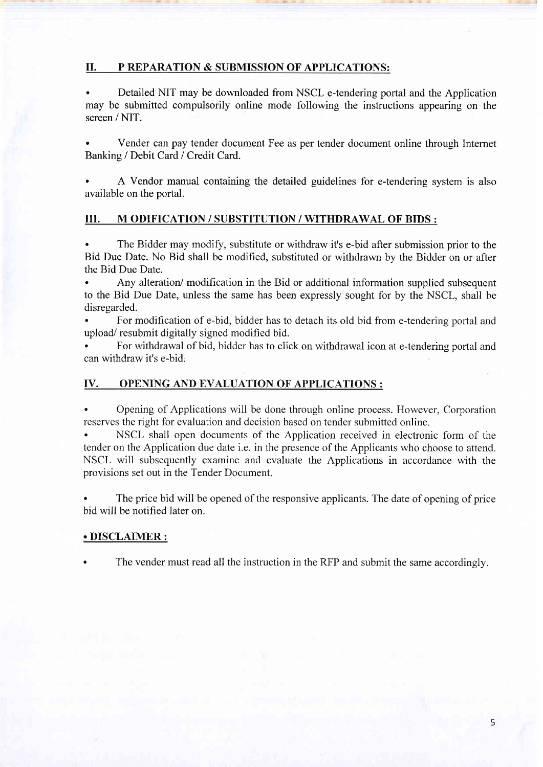#### II. P REPARATION & SUBMISSION OF APPLICATIONS:

. Detailed NIT may be downloaded from NSCL e-tendering portal and the Application may be submitted compulsorily online mode following the instructions appearing on the screen / NIT.

. Vender can pay tender document Fee as per tender document online through Internet Banking / Debit Card / Credit Card.

A Vendor manual containing the detailed guidelines for e-tendering system is also available on the portal.

#### UI. M ODIFICATION / SUBSTITUTION / WITHDRAWAL OF BIDS :

. The Bidder may modify, substitute or withdraw it's e-bid after submission prior to the Bid Due Date. No Bid shall be modified, substituted or withdrawn by the Bidder on or after the Bid Due Date.

. Any alteration/ modification in the Bid or additional information supplied subsequent to the Bid Due Date, unless the same has been expressly sought for by the NSCL, shall be disregarded.

. For modification of e-bid, bidder has to detach its old bid from e-tendering portal and upload/ resubmit digitally signed modified bid.

. For withdrawal of bid, bidder has to click on withdrawal icon at e-tendering portal and can withdraw it's e-bid,

#### IV. OPENING AND EVALUATION OF APPLICATIONS :

. Opening of Applications will be done through online process. However, Corporation reserves the right for evaluation and decision based on tender submitted online.

. NSCL shall open documents of the Application received in electronic form of the tender on the Application due date i.e. in the presence of the Applicants who choose to attend. NSCL will subsequently examine and evaluate the Applications in accordance with the provisions set out in the Tender Document.

. The price bid will be opened of the responsive applicants. The date of opening of price bid will be notified later on.

#### . DISCLAIMER :

The vender must read all the instruction in the RFP and submit the same accordingly.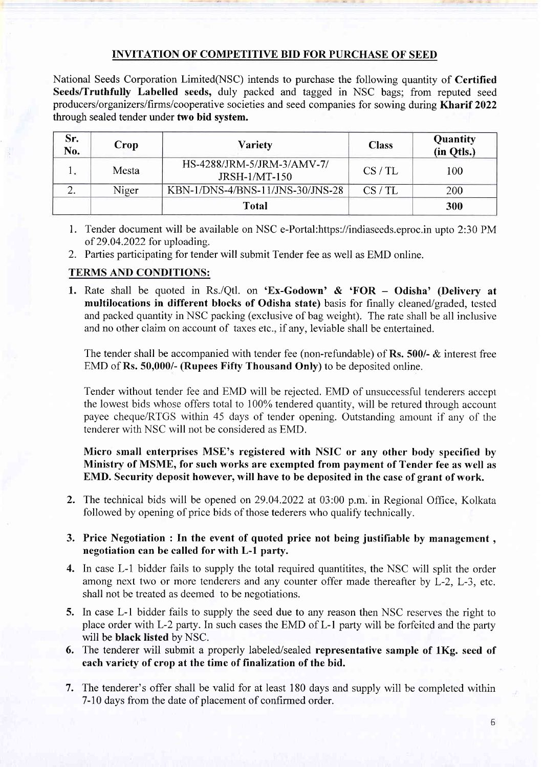#### INVITATION OF COMPETITIVE BID FOR PURCHASE OF SEED

National Seeds Corporation Limited(NSC) intends to purchase the following quantity of Certified Seeds/Truthfully Labelled seeds, duly packed and tagged in NSC bags; from reputed seed producers/organizerslfrms/cooperative societies and seed companies for sowing during Kharif 2022 through sealed tender under two bid system.

| Sr.<br>No. | Crop  | <b>Variety</b>                                     | <b>Class</b> | Quantity<br>(in Otls.) |
|------------|-------|----------------------------------------------------|--------------|------------------------|
|            | Mesta | HS-4288/JRM-5/JRM-3/AMV-7/<br><b>JRSH-1/MT-150</b> | CS/TL        | 100                    |
| ۷.         | Niger | KBN-1/DNS-4/BNS-11/JNS-30/JNS-28                   | CS/TL        | 200                    |
|            |       | <b>Total</b>                                       |              | 300                    |

- 1. Tender document will be available on NSC e-Portal:https://indiaseeds.eproc.in upto 2:30 PM of 29.04.2022 for uploading.
- 2. Parties participating for tender will submit Tender fee as well as EMD online.

#### TERMS AND CONDITIONS:

1. Rate shall be quoted in Rs./Qtl. on 'Ex-Godown' & 'FOR - Odisha' (Delivery at multilocations in different blocks of Odisha state) basis for finally cleaned/graded, tested and packed quantity in NSC packing (exclusive of bag weight). The rate shall be all inclusive and no other claim on account of taxes etc., if any, leviable shall be entertained.

The tender shall be accompanied with tender fee (non-refundable) of Rs. 500/-  $\&$  interest free EMD of Rs. 50,000/- (Rupees Fiffy Thousand Only) to be deposited online.

Tender without tender fee and EMD will be rejected. EMD of unsuccessful tenderers accept the lowest bids whose offers total to 100% tendered quantity, will be retured through account payee cheque/RTGS within 45 days of tender opening. Outstanding amount if any of the tenderer with NSC will not be considered as EMD.

Micro small enterprises MSE's registered with NSIC or any other body specified by Ministry of MSME, for such works are exempted from payment of Tender fee as well as EMD. Security deposit however, will have to be deposited in the case of grant of work.

2. The technical bids will be opened on29.04.2022 at 03:00 p.m. in Regional Office, Kolkata followed by opening of price bids of those tederers who qualify technically.

#### 3. Price Negotiation : In the event of quoted price not being justifiable by management , negotiation can be called for with L-l party.

- 4. In case L-1 bidder fails to supply the total required quantitites, the NSC will split the order among next two or more tenderers and any counter offer made thereafter by L-2, L-3, etc. shall not be treated as deemed to be negotiations.
- 5. In case L-l bidder fails to supply the seed due to any reason then NSC reserves the right to place order with L-2 party. In such cases the EMD of L-1 party will be forfeited and the party will be black listed by NSC.
- 6. The tenderer will submit a properly labeled/sealed representative sample of lKg. seed of each variety of crop at the time of finalization of the bid.
- 7. The tenderer's offer shall be valid for at least 180 days and supply will be completed within 7-10 days from the date of placement of confirmed order.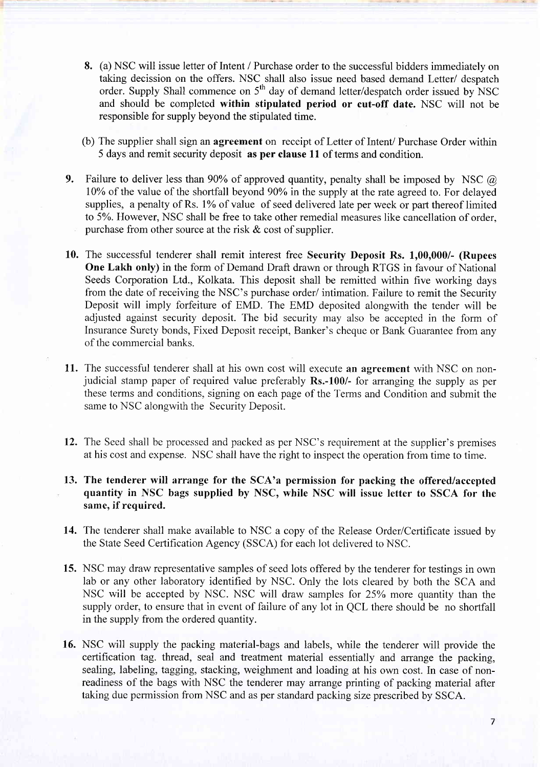- 8. (a) NSC will issue letter of Intent / Purchase order to the successful bidders immediately on taking decission on the offers. NSC shall also issue need based demand Letter/ despatch order. Supply Shall commence on  $5<sup>th</sup>$  day of demand letter/despatch order issued by NSC and should be completed within stipulated period or cut-off date. NSC will not be responsible for supply beyond the stipulated time.
- (b) The supplier shall sign an agreement on receipt of Letter of Intent/ Purchase Order within 5 days and remit security deposit as per clause 11 of terms and condition.
- 9. Failure to deliver less than 90% of approved quantity, penalty shall be imposed by NSC  $\omega$ 10% of the value of the shortfall beyond 90% in the supply at the rate agreed to. For delayed supplies, a penalty of Rs. 1% of value of seed delivered late per week or part thereof limited to 5%. However, NSC shall be free to take other remedial measures like cancellation of order. purchase from other source at the risk  $\&$  cost of supplier.
- 10. The successful tenderer shall remit interest free Securify Deposit Rs. 1,00,000/- (Rupees One Lakh only) in the form of Demand Draft drawn or through RTGS in favour of National Seeds Corporation Ltd., Kolkata. This deposit shall be remitted within five working days from the date of receiving the NSC's purchase order/ intimation. Failure to remit the Security Deposit will imply forfeiture of EMD. The EMD deposited alongwith the tender will be adjusted against security deposit. The bid security may also be accepted in the form of Insurance Surety bonds, Fixed Deposit receipt, Banker's cheque or Bank Guarantee from any of the commercial banks.
- 11. The successful tenderer shall at his own cost will execute an agreement with NSC on nonjudicial stamp paper of required value preferably Rs.-100/- for arranging the supply as per these terms and conditions, signing on each page of the Terms and Condition and submit the same to NSC alongwith the Security Deposit.
- 12. The Seed shall be processed and packed as per NSC's requirement at the supplier's premises at his cost and expense. NSC shall have the right to inspect the operation from time to time.
- 13. The tenderer will arrange for the SCA'a permission for packing the offered/accepted quantify in NSC bags supplied by NSC, while NSC will issue letter to SSCA for the same, if required.
- 14. The tenderer shall make available to NSC a copy of the Release Order/Certificate issued by the State Seed Certification Agency (SSCA) for each lot delivered to NSC.
- 15. NSC may draw representative samples of seed lots offered by the tenderer for testings in own lab or any other laboratory identified by NSC. Only the lots cleared by both the SCA and NSC will be accepted by NSC. NSC will draw samples for 25% more quantity than the supply order, to ensure that in event of failure of any lot in QCL there should be no shortfall in the supply from the ordered quantity.
- 16. NSC will supply the packing material-bags and labels, while the tenderer will provide the certihcation tag. thread, seal and treatment material essentially and arrange the packing, sealing, labeling, tagging, stacking, weighment and loading at his own cost. In case of nonreadiness of the bags with NSC the tenderer may arrange printing of packing material after taking due permission from NSC and as per standard packing size prescribed by SSCA.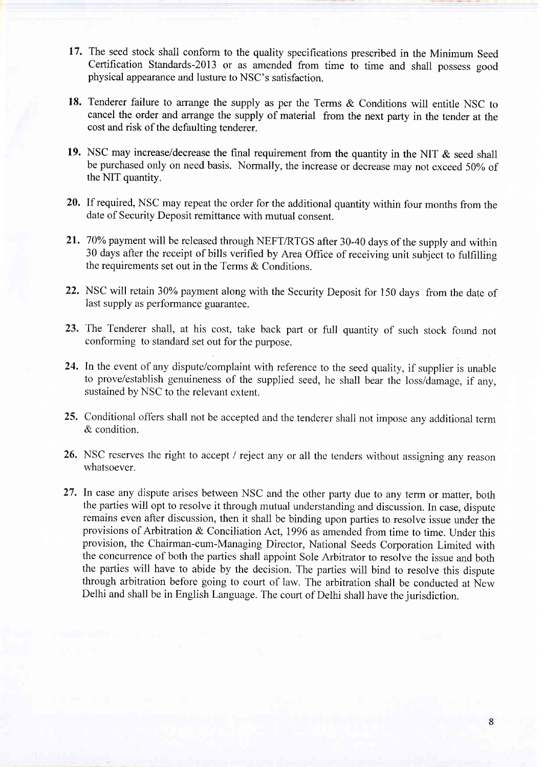- 17. The seed stock shall conform to the quality specifications prescribed in the Minimum Seed Certification Standards-20l3 or as amended from time to time and shall possess good physical appearance and lusture to NSC's satisfaction.
- 18. Tenderer failure to arrange the supply as per the Terms & Conditions will entitle NSC to cancel the order and arrange the supply of material from the next party in the tender at the cost and risk of the defaulting tenderer.
- 19. NSC may increase/decrease the final requirement from the quantity in the NIT & seed shall be purchased only on need basis. Normally, the increase or decrease may not exceed 50%, of the NIT quantity.
- 20. If required, NSC may repeat the order for the additional quantity within four months from the date of Security Deposit remittance with mutual consent.
- 21. 70% payment will be released through NEFT/RTGS after 30-40 days of the supply and within 30 days after the receipt of bills verified by Area Office of receiving unit subject to fulfilling the requirements set out in the Terms & Conditions.
- 22. NSC will retain 30% payment along with the Security Deposit for 150 days from the date of last supply as performance guarantee.
- 23. The Tenderer shall, at his cost, take back part or full quantity of such stock found not conforming to standard set out for the purpose.
- 24. In the event of any dispute/complaint with reference to the seed quality, if supplier is unable to prove/establish genuineness of the supplied seed, he shall bear the loss/damage, if any, sustained by NSC to the relevant extent.
- 25. Conditional offers shall not be accepted and the tenderer shall not impose any additional term & condition.
- 26. NSC reserves the right to accept / reject any or all the tenders without assigning any reason whatsoever.
- 27. In case any dispute arises between NSC and the other party due to any term or matter, both the parties will opt to resolve it through mutual understanding and discussion. In case, dispute remains even after discussion, then it shall be binding upon parties to resolve issue under the provisions of Arbitration & Conciliation Act, 1996 as amended from time to time. Under this provision, the Chairman-cum-Managing Director, National Seeds Corporation Limited with the concurrence of both the parties shall appoint Sole Arbitrator to resolve the issue and both the parties will have to abide by the decision. The parties will bind to resolve this dispute through arbitration before going to court of law. The arbitration shall be conducted at New Delhi and shall be in English Language. The court of Delhi shall have the iurisdiction.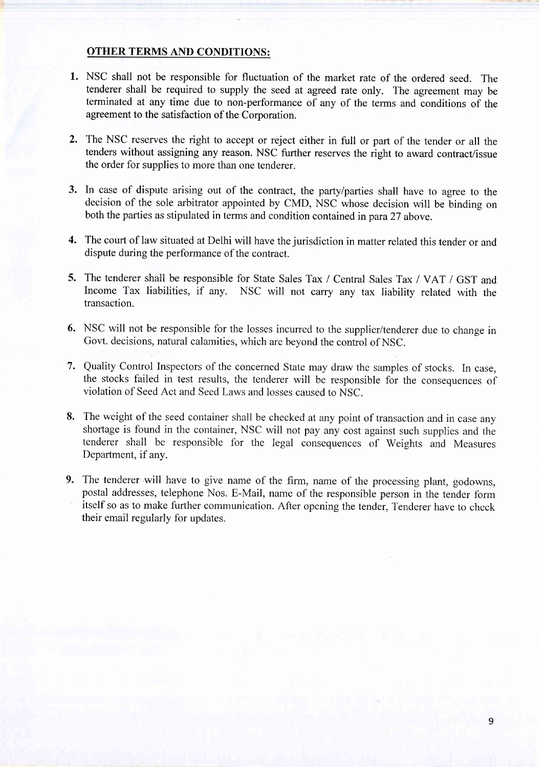#### OTHER TERMS AND CONDITIONS:

- 1. NSC shall not be responsible for fluctuation of the market rate of the ordered seed. The tenderer shall be required to supply the seed at agreed rate only. The agreement may be terminated at any time due to non-performance of any of the terms and conditions of the agreement to the satisfaction of the Corporation.
- ) The NSC reserves the right to accept or reject either in full or part of the tender or all the tenders without assigning any reason. NSC further reserves the right to award contract/issue the order for supplies to more than one tenderer.
- 3. In case of dispute arising out of the contract, the party/parties shall have to agree to the decision of the sole arbitrator appointed by CMD, NSC whose decision will be bindine on both the parties as stipulated in terms and condition contained in para 27 above.
- 4. The court of law situated at Delhi will have the jurisdiction in matter related this tender or and dispute during the performance of the contract.
- 5. The tenderer shall be responsible for State Sales Tax / Central Sales Tax / VAT / GST and Income Tax liabilities, if any. NSC will not carry any tax liability related with the transaction.
- 6. NSC will not be responsible for the losses incurred to the supplier/tenderer due to change in Govt. decisions, natural calamities, which are beyond the control of NSC.
- 1 Quality Control Inspectors of the concerned State may draw the samples of stocks. In case, the stocks failed in test results, the tenderer will be responsible for the consequences of violation of Seed Act and Seed Laws and losses caused to NSC.
- 8. The weight of the seed container shall be checked at any point of transaction and in case any shortage is found in the container, NSC will not pay any cost against such supplies and the tenderer shall be responsible for the legal consequences of Weights and Measures Department, if any.
- 9. The tenderer will have to give name of the firm, name of the processing plant, godowns, postal addresses, telephone Nos. E-Mail, name of the responsible person in the tender form itself so as to make further communication. After opening the tender, Tenderer have to check their email regularly for updates.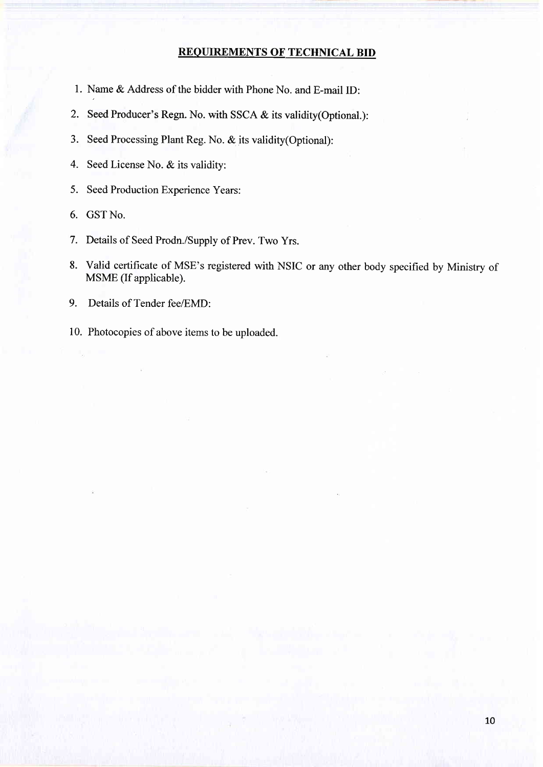#### REOUIREMENTS OF TECHNICAL BID

- l. Name & Address of the bidder with Phone No. and E-mail ID:
- 2. Seed Producer's Regn. No. with SSCA & its validity(Optional.):
- 3. Seed Processing Plant Reg. No. & its validity(Optional):
- 4. Seed License No. & its validity:
- 5. Seed Production Experience Years:
- 6. GST No.
- 7. Details of Seed Prodn./Supply of Prev. Two Yrs.
- 8. Valid certifrcate of MSE's registered with NSIC or any other body specified by Ministry of MSME (If applicable).
- 9. Details of Tender fee/EMD:
- 10. Photocopies of above items to be uploaded.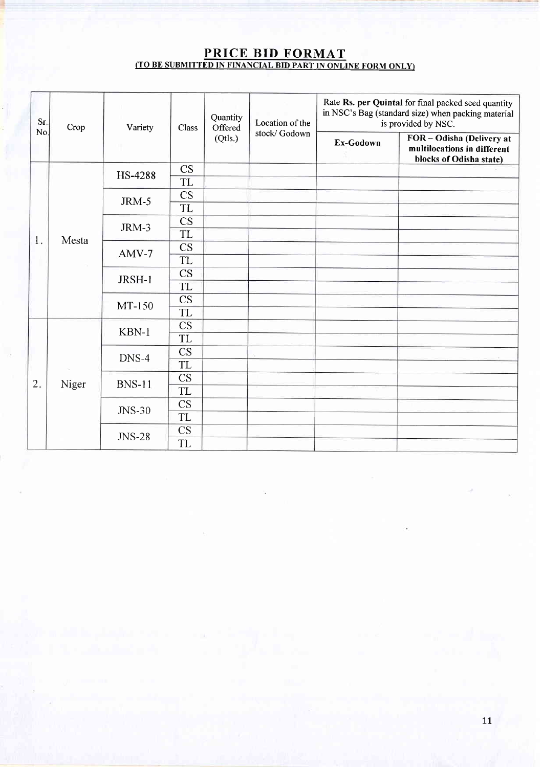#### PRICE BID FORMAT <u>(TO BE SUBMITTED IN FINANCIAL BID PART IN ONLINE FORM ONLY)</u>

| Sr.<br>No. | Crop  | Variety<br>œ  | Class                  | Quantity<br>Offered | Location of the<br>stock/Godown | Rate Rs. per Quintal for final packed seed quantity<br>in NSC's Bag (standard size) when packing material<br>is provided by NSC. |                                                                                     |
|------------|-------|---------------|------------------------|---------------------|---------------------------------|----------------------------------------------------------------------------------------------------------------------------------|-------------------------------------------------------------------------------------|
|            |       |               |                        | (Qtls.)             |                                 | Ex-Godown                                                                                                                        | FOR - Odisha (Delivery at<br>multilocations in different<br>blocks of Odisha state) |
|            |       | HS-4288       | $\overline{\text{CS}}$ |                     |                                 |                                                                                                                                  |                                                                                     |
|            |       |               | TL                     |                     |                                 |                                                                                                                                  |                                                                                     |
|            |       | JRM-5         | $\overline{\text{CS}}$ |                     |                                 |                                                                                                                                  |                                                                                     |
|            |       |               | <b>TL</b>              |                     |                                 |                                                                                                                                  |                                                                                     |
|            |       | JRM-3         | CS                     |                     |                                 |                                                                                                                                  |                                                                                     |
| 1.         | Mesta |               | <b>TL</b>              |                     |                                 |                                                                                                                                  |                                                                                     |
|            |       | $AMV-7$       | CS                     |                     |                                 |                                                                                                                                  |                                                                                     |
|            |       |               | TL                     |                     |                                 |                                                                                                                                  |                                                                                     |
|            |       | JRSH-1        | CS                     |                     |                                 |                                                                                                                                  |                                                                                     |
|            |       |               | <b>TL</b>              |                     |                                 |                                                                                                                                  |                                                                                     |
|            |       | MT-150        | CS                     |                     |                                 |                                                                                                                                  |                                                                                     |
|            |       |               | <b>TL</b>              |                     |                                 |                                                                                                                                  |                                                                                     |
|            |       | KBN-1         | CS                     |                     |                                 |                                                                                                                                  |                                                                                     |
|            |       |               | <b>TL</b>              |                     |                                 |                                                                                                                                  |                                                                                     |
| 2.         | Niger | DNS-4         | CS                     |                     |                                 |                                                                                                                                  |                                                                                     |
|            |       |               | <b>TL</b>              |                     |                                 |                                                                                                                                  |                                                                                     |
|            |       | <b>BNS-11</b> | <b>CS</b>              |                     |                                 |                                                                                                                                  |                                                                                     |
|            |       |               | <b>TL</b>              |                     |                                 |                                                                                                                                  |                                                                                     |
|            |       | JNS-30        | CS                     |                     |                                 |                                                                                                                                  |                                                                                     |
|            |       |               | TL                     |                     |                                 |                                                                                                                                  |                                                                                     |
|            |       | <b>JNS-28</b> | CS                     |                     |                                 |                                                                                                                                  |                                                                                     |
|            |       |               | <b>TL</b>              |                     |                                 |                                                                                                                                  |                                                                                     |